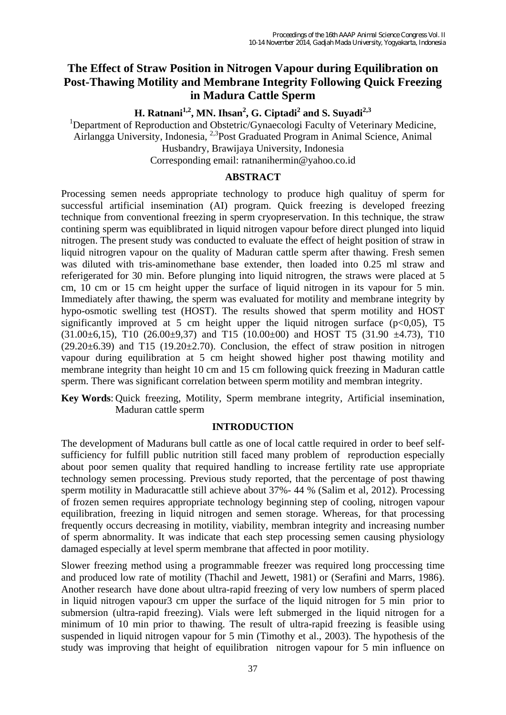# **The Effect of Straw Position in Nitrogen Vapour during Equilibration on Post-Thawing Motility and Membrane Integrity Following Quick Freezing in Madura Cattle Sperm**

**H. Ratnani<sup>1,2</sup>, MN. Ihsan<sup>2</sup>, G. Ciptadi<sup>2</sup> and S. Suyadi<sup>2,3</sup>** 

<sup>1</sup>Department of Reproduction and Obstetric/Gynaecologi Faculty of Veterinary Medicine, Airlangga University, Indonesia, 2,3Post Graduated Program in Animal Science, Animal Husbandry, Brawijaya University, Indonesia Corresponding email: ratnanihermin@yahoo.co.id

#### **ABSTRACT**

Processing semen needs appropriate technology to produce high qualituy of sperm for successful artificial insemination (AI) program. Quick freezing is developed freezing technique from conventional freezing in sperm cryopreservation. In this technique, the straw contining sperm was equiblibrated in liquid nitrogen vapour before direct plunged into liquid nitrogen. The present study was conducted to evaluate the effect of height position of straw in liquid nitrogren vapour on the quality of Maduran cattle sperm after thawing. Fresh semen was diluted with tris-aminomethane base extender, then loaded into 0.25 ml straw and referigerated for 30 min. Before plunging into liquid nitrogren, the straws were placed at 5 cm, 10 cm or 15 cm height upper the surface of liquid nitrogen in its vapour for 5 min. Immediately after thawing, the sperm was evaluated for motility and membrane integrity by hypo-osmotic swelling test (HOST). The results showed that sperm motility and HOST significantly improved at 5 cm height upper the liquid nitrogen surface  $(p<0.05)$ , T5  $(31.00\pm6,15)$ , T10  $(26.00\pm9,37)$  and T15  $(10.00\pm00)$  and HOST T5  $(31.90 \pm4.73)$ , T10  $(29.20 \pm 6.39)$  and T15  $(19.20 \pm 2.70)$ . Conclusion, the effect of straw position in nitrogen vapour during equilibration at 5 cm height showed higher post thawing motility and membrane integrity than height 10 cm and 15 cm following quick freezing in Maduran cattle sperm. There was significant correlation between sperm motility and membran integrity.

**Key Words**: Quick freezing, Motility, Sperm membrane integrity, Artificial insemination, Maduran cattle sperm

### **INTRODUCTION**

The development of Madurans bull cattle as one of local cattle required in order to beef selfsufficiency for fulfill public nutrition still faced many problem of reproduction especially about poor semen quality that required handling to increase fertility rate use appropriate technology semen processing. Previous study reported, that the percentage of post thawing sperm motility in Maduracattle still achieve about 37%- 44 % (Salim et al, 2012). Processing of frozen semen requires appropriate technology beginning step of cooling, nitrogen vapour equilibration, freezing in liquid nitrogen and semen storage. Whereas, for that processing frequently occurs decreasing in motility, viability, membran integrity and increasing number of sperm abnormality. It was indicate that each step processing semen causing physiology damaged especially at level sperm membrane that affected in poor motility.

Slower freezing method using a programmable freezer was required long proccessing time and produced low rate of motility (Thachil and Jewett, 1981) or (Serafini and Marrs, 1986). Another research have done about ultra-rapid freezing of very low numbers of sperm placed in liquid nitrogen vapour3 cm upper the surface of the liquid nitrogen for 5 min prior to submersion (ultra-rapid freezing). Vials were left submerged in the liquid nitrogen for a minimum of 10 min prior to thawing. The result of ultra-rapid freezing is feasible using suspended in liquid nitrogen vapour for 5 min (Timothy et al., 2003). The hypothesis of the study was improving that height of equilibration nitrogen vapour for 5 min influence on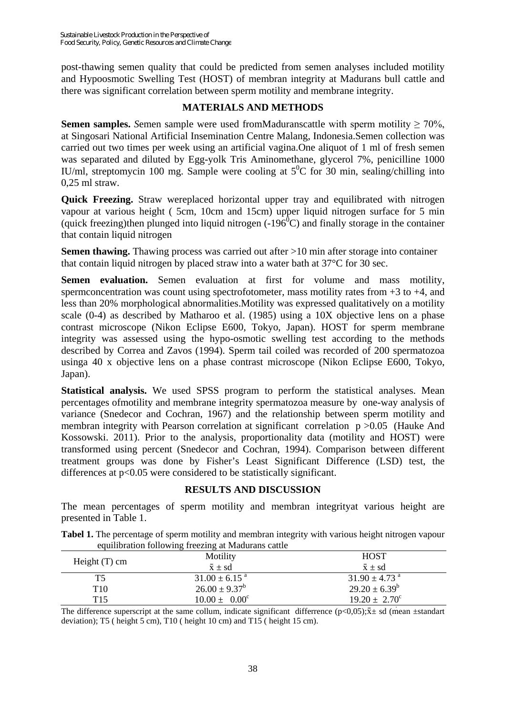post-thawing semen quality that could be predicted from semen analyses included motility and Hypoosmotic Swelling Test (HOST) of membran integrity at Madurans bull cattle and there was significant correlation between sperm motility and membrane integrity.

## **MATERIALS AND METHODS**

**Semen samples.** Semen sample were used fromMaduranscattle with sperm motility  $\geq 70\%$ , at Singosari National Artificial Insemination Centre Malang, Indonesia.Semen collection was carried out two times per week using an artificial vagina.One aliquot of 1 ml of fresh semen was separated and diluted by Egg-yolk Tris Aminomethane, glycerol 7%, penicilline 1000 IU/ml, streptomycin 100 mg. Sample were cooling at  $5^{\circ}$ C for 30 min, sealing/chilling into 0,25 ml straw.

**Quick Freezing.** Straw wereplaced horizontal upper tray and equilibrated with nitrogen vapour at various height (5cm, 10cm and 15cm) upper liquid nitrogen surface for 5 min (quick freezing)then plunged into liquid nitrogen  $(-196^{\circ}C)$  and finally storage in the container that contain liquid nitrogen

**Semen thawing.** Thawing process was carried out after >10 min after storage into container that contain liquid nitrogen by placed straw into a water bath at 37°C for 30 sec.

**Semen evaluation.** Semen evaluation at first for volume and mass motility, spermconcentration was count using spectrofotometer, mass motility rates from  $+3$  to  $+4$ , and less than 20% morphological abnormalities.Motility was expressed qualitatively on a motility scale (0-4) as described by Matharoo et al. (1985) using a 10X objective lens on a phase contrast microscope (Nikon Eclipse E600, Tokyo, Japan). HOST for sperm membrane integrity was assessed using the hypo-osmotic swelling test according to the methods described by Correa and Zavos (1994). Sperm tail coiled was recorded of 200 spermatozoa usinga 40 x objective lens on a phase contrast microscope (Nikon Eclipse E600, Tokyo, Japan).

**Statistical analysis.** We used SPSS program to perform the statistical analyses. Mean percentages ofmotility and membrane integrity spermatozoa measure by one-way analysis of variance (Snedecor and Cochran, 1967) and the relationship between sperm motility and membran integrity with Pearson correlation at significant correlation  $p > 0.05$  (Hauke And Kossowski. 2011). Prior to the analysis, proportionality data (motility and HOST) were transformed using percent (Snedecor and Cochran, 1994). Comparison between different treatment groups was done by Fisher's Least Significant Difference (LSD) test, the differences at  $p<0.05$  were considered to be statistically significant.

### **RESULTS AND DISCUSSION**

The mean percentages of sperm motility and membran integrityat various height are presented in Table 1.

**Tabel 1.** The percentage of sperm motility and membran integrity with various height nitrogen vapour equilibration following freezing at Madurans cattle

| equinoration rono wing necessity at magazine cattle |                               |                               |
|-----------------------------------------------------|-------------------------------|-------------------------------|
| Height $(T)$ cm                                     | Motility                      | <b>HOST</b>                   |
|                                                     | $\bar{x} \pm sd$              | $\bar{x} \pm sd$              |
| T5                                                  | $31.00 \pm 6.15$ <sup>a</sup> | $31.90 \pm 4.73$ <sup>a</sup> |
| T10                                                 | $26.00 \pm 9.37^{\rm b}$      | $29.20 \pm 6.39^b$            |
| T15                                                 | $10.00 \pm 0.00^{\circ}$      | $19.20 \pm 2.70^{\circ}$      |
|                                                     |                               |                               |

The difference superscript at the same collum, indicate significant difference (p<0,05); $\bar{x}$  ± sd (mean ±standart deviation); T5 ( height 5 cm), T10 ( height 10 cm) and T15 ( height 15 cm).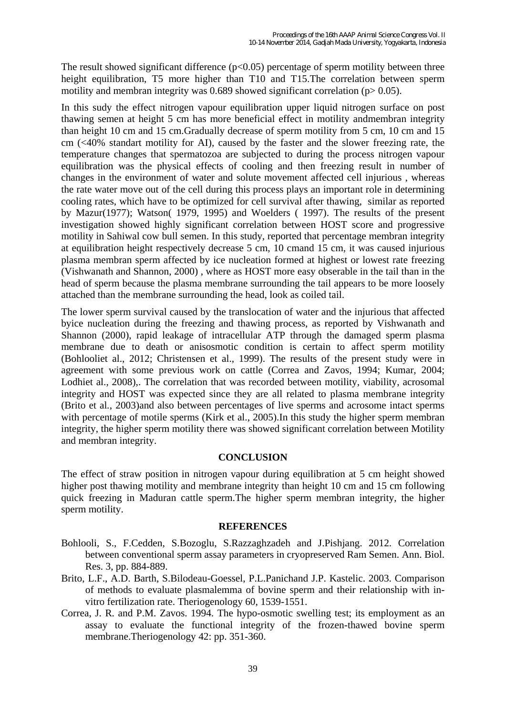The result showed significant difference  $(p<0.05)$  percentage of sperm motility between three height equilibration, T5 more higher than T10 and T15.The correlation between sperm motility and membran integrity was 0.689 showed significant correlation ( $p > 0.05$ ).

In this sudy the effect nitrogen vapour equilibration upper liquid nitrogen surface on post thawing semen at height 5 cm has more beneficial effect in motility andmembran integrity than height 10 cm and 15 cm.Gradually decrease of sperm motility from 5 cm, 10 cm and 15 cm (<40% standart motility for AI), caused by the faster and the slower freezing rate, the temperature changes that spermatozoa are subjected to during the process nitrogen vapour equilibration was the physical effects of cooling and then freezing result in number of changes in the environment of water and solute movement affected cell injurious , whereas the rate water move out of the cell during this process plays an important role in determining cooling rates, which have to be optimized for cell survival after thawing, similar as reported by Mazur(1977); Watson( 1979, 1995) and Woelders ( 1997). The results of the present investigation showed highly significant correlation between HOST score and progressive motility in Sahiwal cow bull semen. In this study, reported that percentage membran integrity at equilibration height respectively decrease 5 cm, 10 cmand 15 cm, it was caused injurious plasma membran sperm affected by ice nucleation formed at highest or lowest rate freezing (Vishwanath and Shannon, 2000) , where as HOST more easy obserable in the tail than in the head of sperm because the plasma membrane surrounding the tail appears to be more loosely attached than the membrane surrounding the head, look as coiled tail.

The lower sperm survival caused by the translocation of water and the injurious that affected byice nucleation during the freezing and thawing process, as reported by Vishwanath and Shannon (2000), rapid leakage of intracellular ATP through the damaged sperm plasma membrane due to death or anisosmotic condition is certain to affect sperm motility (Bohlooliet al., 2012; Christensen et al., 1999). The results of the present study were in agreement with some previous work on cattle (Correa and Zavos, 1994; Kumar, 2004; Lodhiet al., 2008),. The correlation that was recorded between motility, viability, acrosomal integrity and HOST was expected since they are all related to plasma membrane integrity (Brito et al*.*, 2003)and also between percentages of live sperms and acrosome intact sperms with percentage of motile sperms (Kirk et al., 2005). In this study the higher sperm membran integrity, the higher sperm motility there was showed significant correlation between Motility and membran integrity.

### **CONCLUSION**

The effect of straw position in nitrogen vapour during equilibration at 5 cm height showed higher post thawing motility and membrane integrity than height 10 cm and 15 cm following quick freezing in Maduran cattle sperm.The higher sperm membran integrity, the higher sperm motility.

#### **REFERENCES**

- Bohlooli, S., F.Cedden, S.Bozoglu, S.Razzaghzadeh and J.Pishjang. 2012. Correlation between conventional sperm assay parameters in cryopreserved Ram Semen. Ann. Biol. Res. 3, pp. 884-889.
- Brito, L.F., A.D. Barth, S.Bilodeau-Goessel, P.L.Panichand J.P. Kastelic. 2003. Comparison of methods to evaluate plasmalemma of bovine sperm and their relationship with invitro fertilization rate. Theriogenology 60, 1539-1551.
- Correa, J. R. and P.M. Zavos. 1994. The hypo-osmotic swelling test; its employment as an assay to evaluate the functional integrity of the frozen-thawed bovine sperm membrane.Theriogenology 42: pp. 351-360.